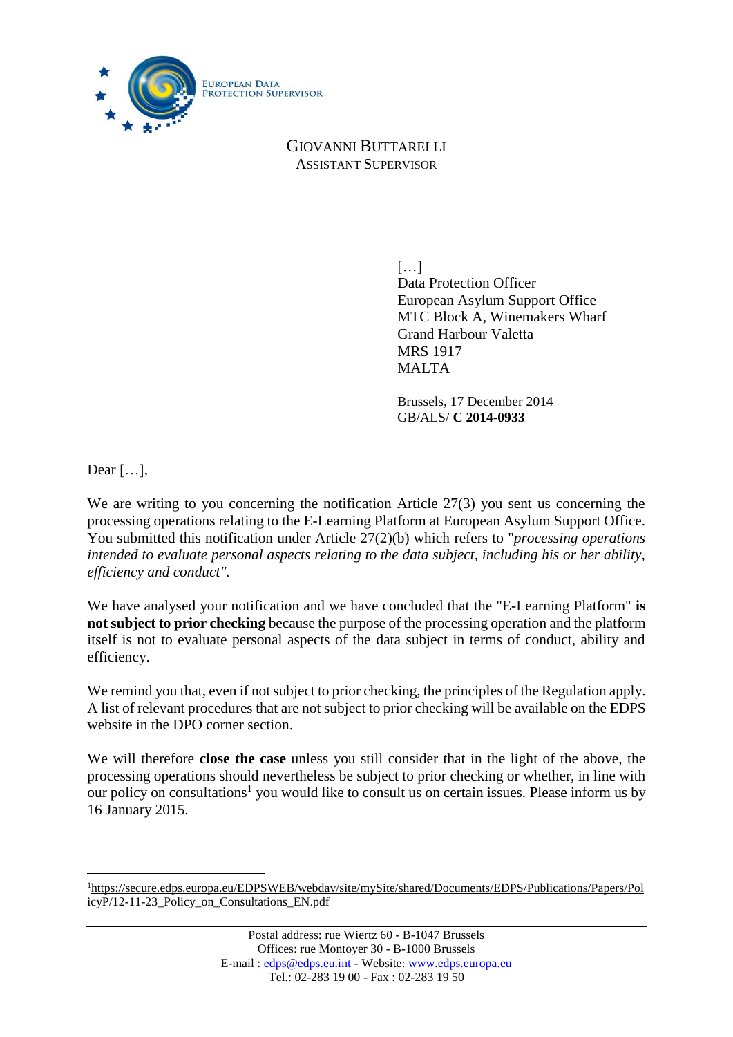

GIOVANNI BUTTARELLI ASSISTANT SUPERVISOR

> […] Data Protection Officer European Asylum Support Office MTC Block A, Winemakers Wharf Grand Harbour Valetta MRS 1917 MALTA

Brussels, 17 December 2014 GB/ALS/ **C 2014-0933**

Dear […],

 $\overline{a}$ 

We are writing to you concerning the notification Article 27(3) you sent us concerning the processing operations relating to the E-Learning Platform at European Asylum Support Office. You submitted this notification under Article 27(2)(b) which refers to "*processing operations intended to evaluate personal aspects relating to the data subject, including his or her ability, efficiency and conduct".*

We have analysed your notification and we have concluded that the "E-Learning Platform" **is not subject to prior checking** because the purpose of the processing operation and the platform itself is not to evaluate personal aspects of the data subject in terms of conduct, ability and efficiency.

We remind you that, even if not subject to prior checking, the principles of the Regulation apply. A list of relevant procedures that are not subject to prior checking will be available on the EDPS website in the DPO corner section.

We will therefore **close the case** unless you still consider that in the light of the above, the processing operations should nevertheless be subject to prior checking or whether, in line with our policy on consultations<sup>1</sup> you would like to consult us on certain issues. Please inform us by 16 January 2015.

<sup>1</sup>[https://secure.edps.europa.eu/EDPSWEB/webdav/site/mySite/shared/Documents/EDPS/Publications/Papers/Pol](https://secure.edps.europa.eu/EDPSWEB/webdav/site/mySite/shared/Documents/EDPS/Publications/Papers/PolicyP/12-11-23_Policy_on_Consultations_EN.pdf) [icyP/12-11-23\\_Policy\\_on\\_Consultations\\_EN.pdf](https://secure.edps.europa.eu/EDPSWEB/webdav/site/mySite/shared/Documents/EDPS/Publications/Papers/PolicyP/12-11-23_Policy_on_Consultations_EN.pdf)